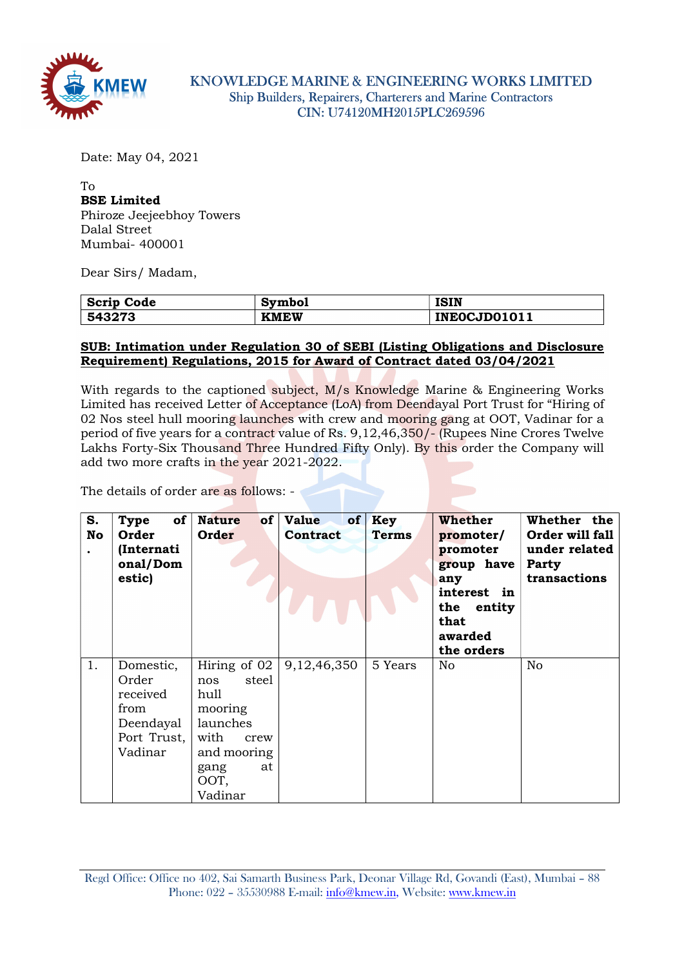

Date: May 04, 2021

## To BSE Limited

Phiroze Jeejeebhoy Towers Dalal Street Mumbai- 400001

Dear Sirs/ Madam,

| Scrip<br>Code | Symbol      | <b>ISIN</b>  |
|---------------|-------------|--------------|
| 543273        | <b>KMEW</b> | INEOCJD01011 |

## SUB: Intimation under Regulation 30 of SEBI (Listing Obligations and Disclosure Requirement) Regulations, 2015 for Award of Contract dated 03/04/2021

With regards to the captioned subject, M/s Knowledge Marine & Engineering Works Limited has received Letter of Acceptance (LoA) from Deendayal Port Trust for "Hiring of 02 Nos steel hull mooring launches with crew and mooring gang at OOT, Vadinar for a period of five years for a contract value of Rs. 9,12,46,350/- (Rupees Nine Crores Twelve Lakhs Forty-Six Thousand Three Hundred Fifty Only). By this order the Company will add two more crafts in the year 2021-2022.

The details of order are as follows: -

| S.<br>No<br>$\bullet$ | of<br>Type<br>Order<br>(Internati<br>onal/Dom<br>estic)                       | <b>Nature</b><br>of<br>Order                                                                                | Value<br>of<br>Contract      | Key<br><b>Terms</b> | Whether<br>promoter/<br>promoter<br>group have<br>any<br>interest in<br>the entity<br>that<br>awarded<br>the orders | Whether the<br>Order will fall<br>under related<br>Party<br>transactions |
|-----------------------|-------------------------------------------------------------------------------|-------------------------------------------------------------------------------------------------------------|------------------------------|---------------------|---------------------------------------------------------------------------------------------------------------------|--------------------------------------------------------------------------|
| 1.                    | Domestic,<br>Order<br>received<br>from<br>Deendayal<br>Port Trust,<br>Vadinar | steel<br>nos<br>hull<br>mooring<br>launches<br>with<br>crew<br>and mooring<br>gang<br>at<br>OOT,<br>Vadinar | Hiring of 02   $9,12,46,350$ | 5 Years             | No                                                                                                                  | No                                                                       |